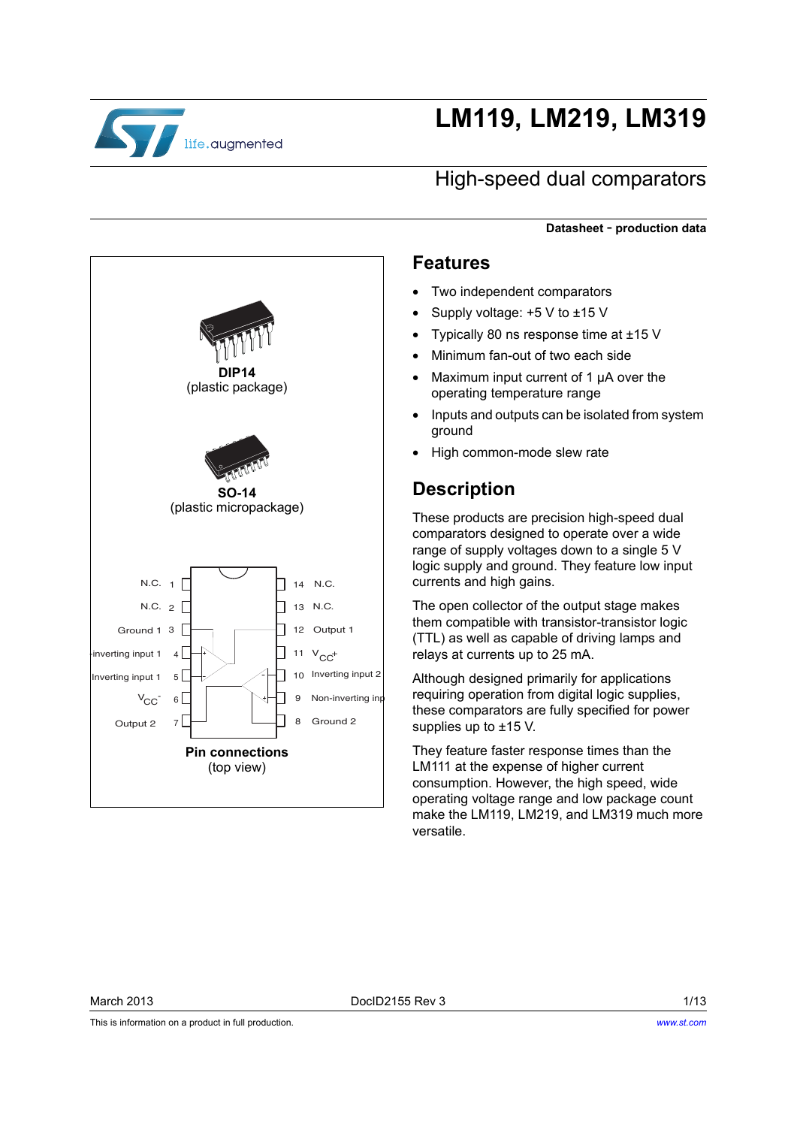

# **LM119, LM219, LM319**

### High-speed dual comparators

**Datasheet** - **production data**

#### **Features**

- Two independent comparators
- Supply voltage: +5 V to ±15 V
- Typically 80 ns response time at ±15 V
- Minimum fan-out of two each side
- Maximum input current of 1 µA over the operating temperature range
- Inputs and outputs can be isolated from system ground
- High common-mode slew rate

#### **Description**

These products are precision high-speed dual comparators designed to operate over a wide range of supply voltages down to a single 5 V logic supply and ground. They feature low input currents and high gains.

The open collector of the output stage makes them compatible with transistor-transistor logic (TTL) as well as capable of driving lamps and relays at currents up to 25 mA.

Although designed primarily for applications requiring operation from digital logic supplies, these comparators are fully specified for power supplies up to ±15 V.

They feature faster response times than the LM111 at the expense of higher current consumption. However, the high speed, wide operating voltage range and low package count make the LM119, LM219, and LM319 much more versatile.



This is information on a product in full production.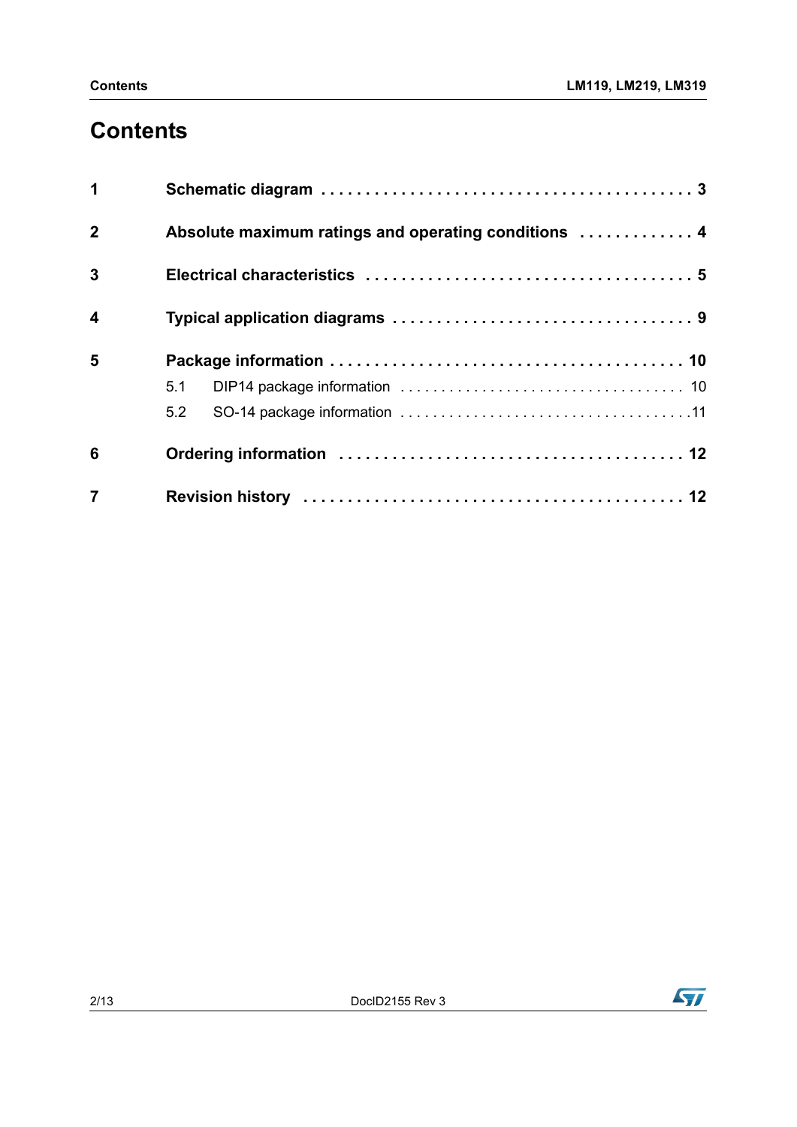## **Contents**

| 1                       |                                                      |
|-------------------------|------------------------------------------------------|
| $\mathbf{2}$            | Absolute maximum ratings and operating conditions  4 |
| $\mathbf{3}$            |                                                      |
| $\overline{\mathbf{4}}$ |                                                      |
| 5                       |                                                      |
|                         | 5.1                                                  |
|                         | 5.2                                                  |
| 6                       |                                                      |
| $\overline{7}$          |                                                      |

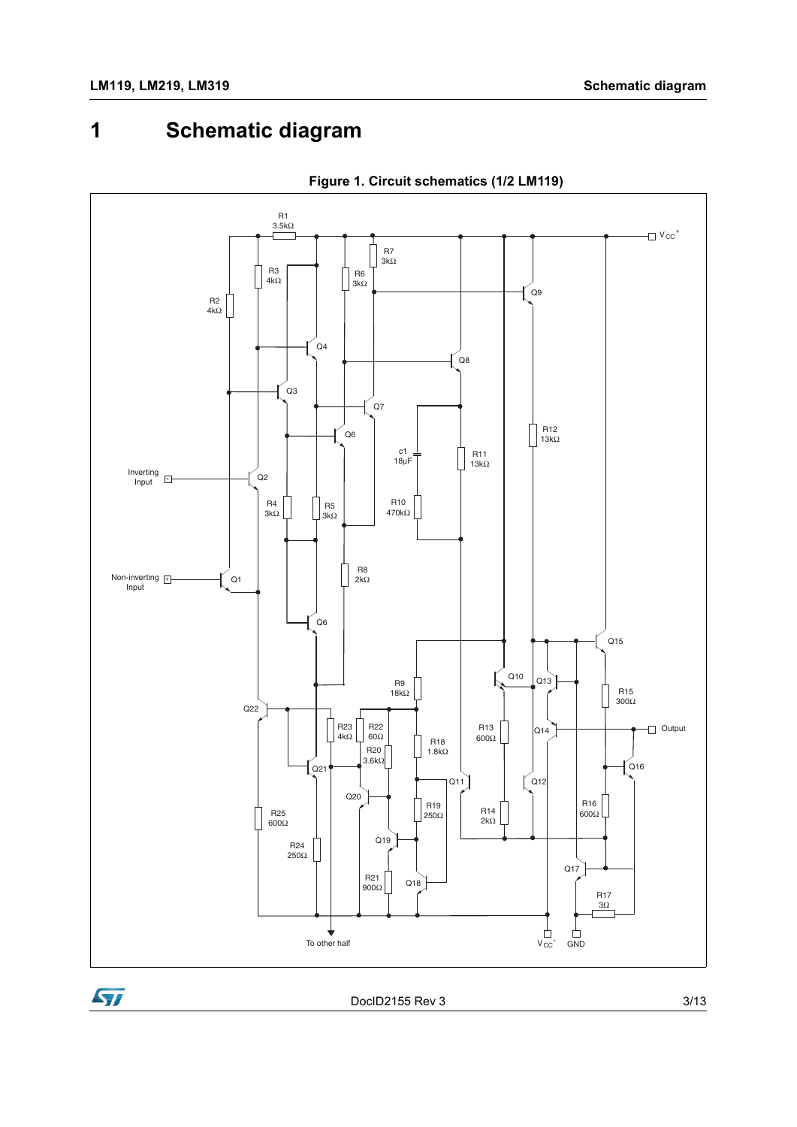## <span id="page-2-0"></span>**1 Schematic diagram**



**Figure 1. Circuit schematics (1/2 LM119)**



DocID2155 Rev 3 3/13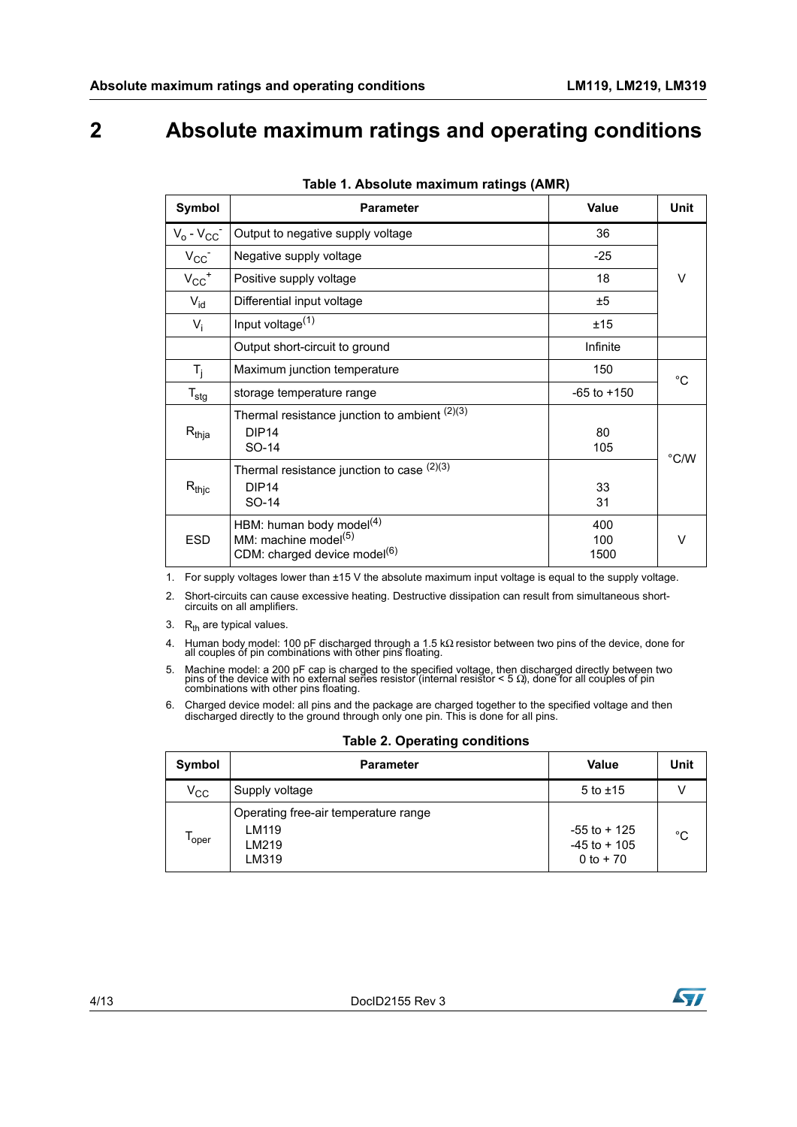### <span id="page-3-0"></span>**2 Absolute maximum ratings and operating conditions**

<span id="page-3-3"></span>

| Symbol                | <b>Parameter</b>                                                                                            | <b>Value</b>       | <b>Unit</b> |
|-----------------------|-------------------------------------------------------------------------------------------------------------|--------------------|-------------|
| $V_0 - V_{CC}$        | Output to negative supply voltage                                                                           | 36                 |             |
| $V_{CC}$              | Negative supply voltage                                                                                     | $-25$              |             |
| $V_{CC}$ <sup>+</sup> | Positive supply voltage                                                                                     | 18                 | $\vee$      |
| $V_{\text{id}}$       | Differential input voltage                                                                                  | ±5                 |             |
| $V_i$                 | Input voltage <sup>(1)</sup>                                                                                | ±15                |             |
|                       | Output short-circuit to ground                                                                              | Infinite           |             |
| $T_i$                 | Maximum junction temperature                                                                                | 150                | °C          |
| $T_{\text{stg}}$      | storage temperature range                                                                                   | $-65$ to $+150$    |             |
| $R_{thja}$            | Thermal resistance junction to ambient $(2)(3)$<br>DIP14<br>SO-14                                           | 80<br>105          | °C/W        |
| $R_{thjc}$            | Thermal resistance junction to case $(2)(3)$<br>DIP <sub>14</sub><br>SO-14                                  | 33<br>31           |             |
| <b>ESD</b>            | HBM: human body model $(4)$<br>MM: machine model <sup>(5)</sup><br>CDM: charged device model <sup>(6)</sup> | 400<br>100<br>1500 | $\vee$      |

| Table 1. Absolute maximum ratings (AMR) |  |  |
|-----------------------------------------|--|--|
|                                         |  |  |

1. For supply voltages lower than ±15 V the absolute maximum input voltage is equal to the supply voltage.

<span id="page-3-1"></span>2. Short-circuits can cause excessive heating. Destructive dissipation can result from simultaneous short-circuits on all amplifiers.

<span id="page-3-2"></span>3.  $R_{\text{th}}$  are typical values.

4. Human body model: 100 pF discharged through a 1.5 kΩ resistor between two pins of the device, done for all couples of pin combinations with other pins floating.

5. Machine model: a 200 pF cap is charged to the specified voltage, then discharged directly between two pins of the device with no external series resistor (internal resistor  $\lt$  5  $\Omega$ ), done for all couples of pin com

6. Charged device model: all pins and the package are charged together to the specified voltage and then discharged directly to the ground through only one pin. This is done for all pins.

| Symbol       | <b>Parameter</b>                                                | <b>Value</b>                                      | Unit |
|--------------|-----------------------------------------------------------------|---------------------------------------------------|------|
| $\rm v_{cc}$ | Supply voltage                                                  | $5$ to $\pm 15$                                   |      |
| oper         | Operating free-air temperature range<br>LM119<br>LM219<br>LM319 | $-55$ to $+125$<br>$-45$ to $+105$<br>$0 to + 70$ | °C   |

**Table 2. Operating conditions**

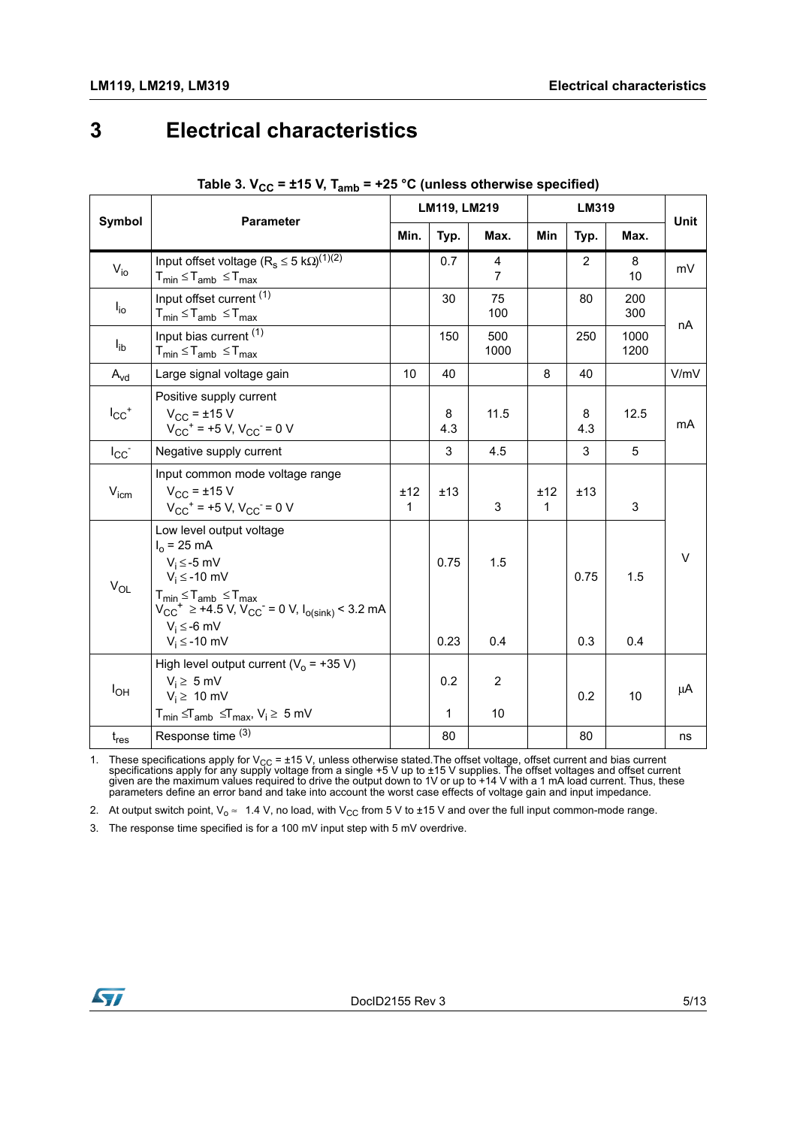### <span id="page-4-0"></span>**3 Electrical characteristics**

|                       |                                                                                                                                                                                                                                                                   | LM119, LM219        |                     |                      | <b>LM319</b>        |                |              |             |
|-----------------------|-------------------------------------------------------------------------------------------------------------------------------------------------------------------------------------------------------------------------------------------------------------------|---------------------|---------------------|----------------------|---------------------|----------------|--------------|-------------|
| Symbol                | <b>Parameter</b>                                                                                                                                                                                                                                                  |                     | Typ.                | Max.                 | <b>Min</b>          | Typ.           | Max.         | <b>Unit</b> |
| $V_{io}$              | Input offset voltage ( $R_s \le 5$ k $\Omega$ ) <sup>(1)(2)</sup><br>$T_{min} \leq T_{amb} \leq T_{max}$                                                                                                                                                          |                     | 0.7                 | 4<br>$\overline{7}$  |                     | $\overline{2}$ | 8<br>10      | mV          |
| $I_{i0}$              | Input offset current $\overline{^{(1)}}$<br>$T_{min} \leq T_{amb} \leq T_{max}$                                                                                                                                                                                   |                     | 30                  | 75<br>100            |                     | 80             | 200<br>300   | nA          |
| $I_{ib}$              | Input bias current (1)<br>$T_{min} \leq T_{amb} \leq T_{max}$                                                                                                                                                                                                     |                     | 150                 | 500<br>1000          |                     | 250            | 1000<br>1200 |             |
| $A_{vd}$              | Large signal voltage gain                                                                                                                                                                                                                                         | 10                  | 40                  |                      | 8                   | 40             |              | V/mV        |
| $I_{CC}$ <sup>+</sup> | Positive supply current<br>$V_{CC}$ = ±15 V<br>$V_{CC}$ <sup>+</sup> = +5 V, $V_{CC}$ = 0 V                                                                                                                                                                       |                     | 8<br>4.3            | 11.5                 |                     | 8<br>4.3       | 12.5         | mA          |
| $I_{CC}$              | Negative supply current                                                                                                                                                                                                                                           |                     | 3                   | 4.5                  |                     | 3              | 5            |             |
| $V_{\text{icm}}$      | Input common mode voltage range<br>$V_{CC}$ = ±15 V<br>$V_{CC}$ <sup>+</sup> = +5 V, $V_{CC}$ = 0 V                                                                                                                                                               | ±12<br>$\mathbf{1}$ | ±13                 | 3                    | ±12<br>$\mathbf{1}$ | ±13            | 3            |             |
| $V_{OL}$              | Low level output voltage<br>$I_0 = 25 \text{ mA}$<br>$V_i \le -5$ mV<br>$V_i \leq -10$ mV<br>$T_{min} \le T_{amb} \le T_{max}$<br>V <sub>CC</sub> <sup>+</sup> $\ge$ +4.5 V, V <sub>CC</sub> <sup>-</sup> = 0 V, I <sub>o(sink)</sub> < 3.2 mA<br>$V_i \le -6$ mV |                     | 0.75<br>0.23        | 1.5<br>0.4           |                     | 0.75<br>0.3    | 1.5<br>0.4   | $\vee$      |
|                       | $V_i \leq -10$ mV                                                                                                                                                                                                                                                 |                     |                     |                      |                     |                |              |             |
| $I_{OH}$              | High level output current ( $V_0$ = +35 V)<br>$V_i \geq 5$ mV<br>$V_i \geq 10$ mV<br>$T_{min} \leq T_{amb} \leq T_{max}$ , $V_i \geq 5$ mV                                                                                                                        |                     | 0.2<br>$\mathbf{1}$ | $\overline{2}$<br>10 |                     | 0.2            | 10           | μA          |
| $t_{res}$             | Response time (3)                                                                                                                                                                                                                                                 |                     | 80                  |                      |                     | 80             |              | ns          |

#### Table 3.  $V_{CC}$  = ±15 V, T<sub>amb</sub> = +25 °C (unless otherwise specified)

<span id="page-4-1"></span>1. These specifications apply for V<sub>CC</sub> = ±15 V, unless otherwise stated.The offset voltage, offset current and bias current<br>specifications apply for any supply voltage from a single +5 V up to ±15 V supplies. The offset parameters define an error band and take into account the worst case effects of voltage gain and input impedance.

2. At output switch point,  $V_0 \approx 1.4$  V, no load, with  $V_{CC}$  from 5 V to ±15 V and over the full input common-mode range.

3. The response time specified is for a 100 mV input step with 5 mV overdrive.

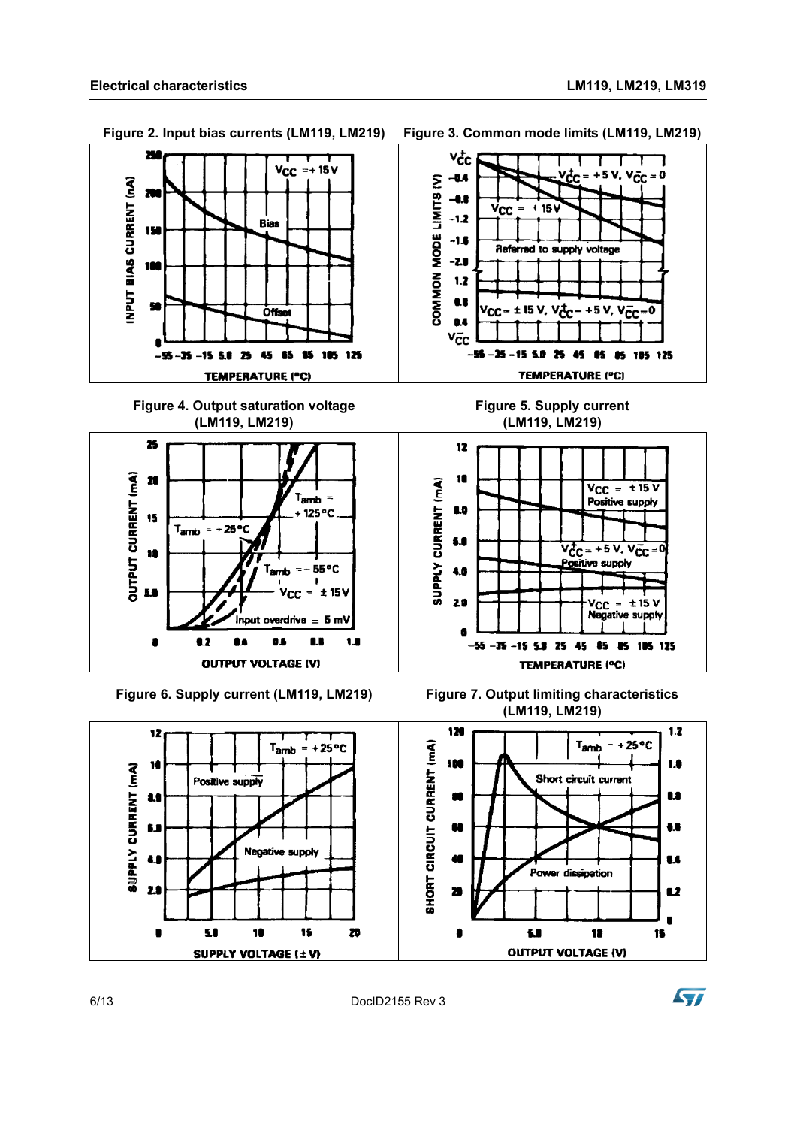Figure 2. Input bias currents (LM119, LM219) Figure 3. Common mode limits (LM119, LM219)





6/13 DocID2155 Rev 3

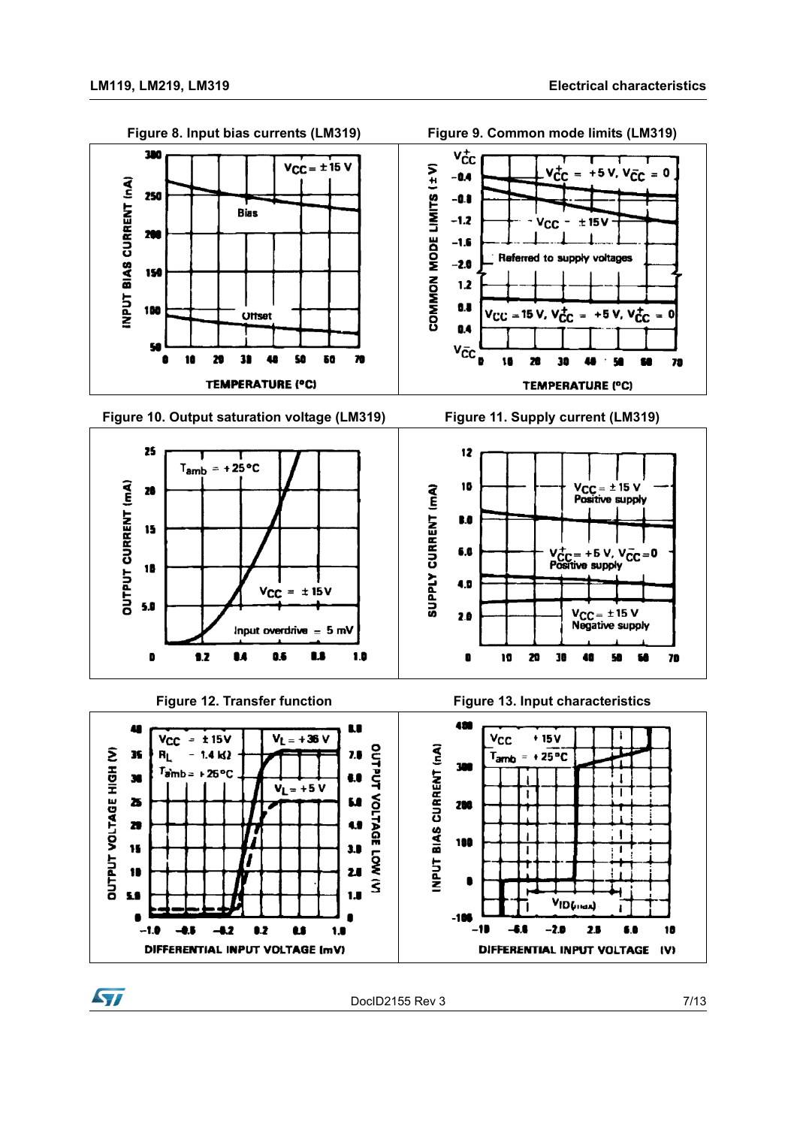57



DocID2155 Rev 3 7/13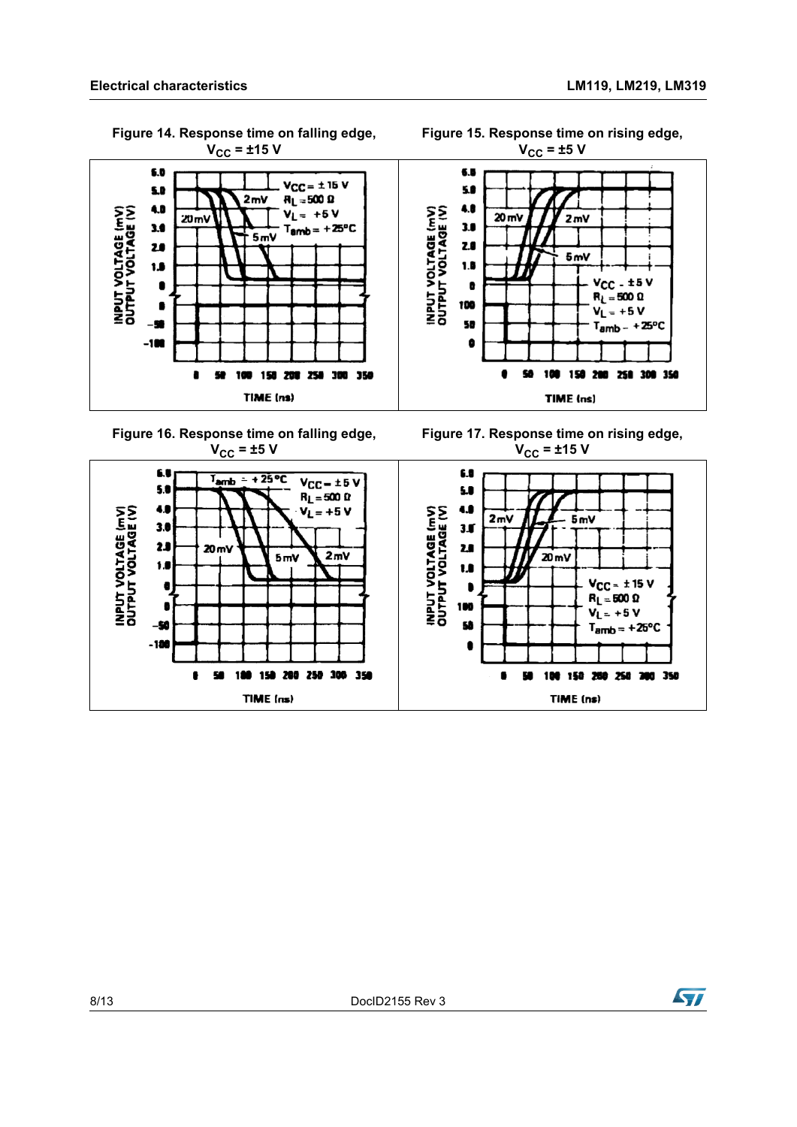<span id="page-7-1"></span>**Figure 15. Response time on rising edge,** 

<span id="page-7-0"></span>

**Figure 14. Response time on falling edge,** 

<span id="page-7-3"></span>

<span id="page-7-2"></span>

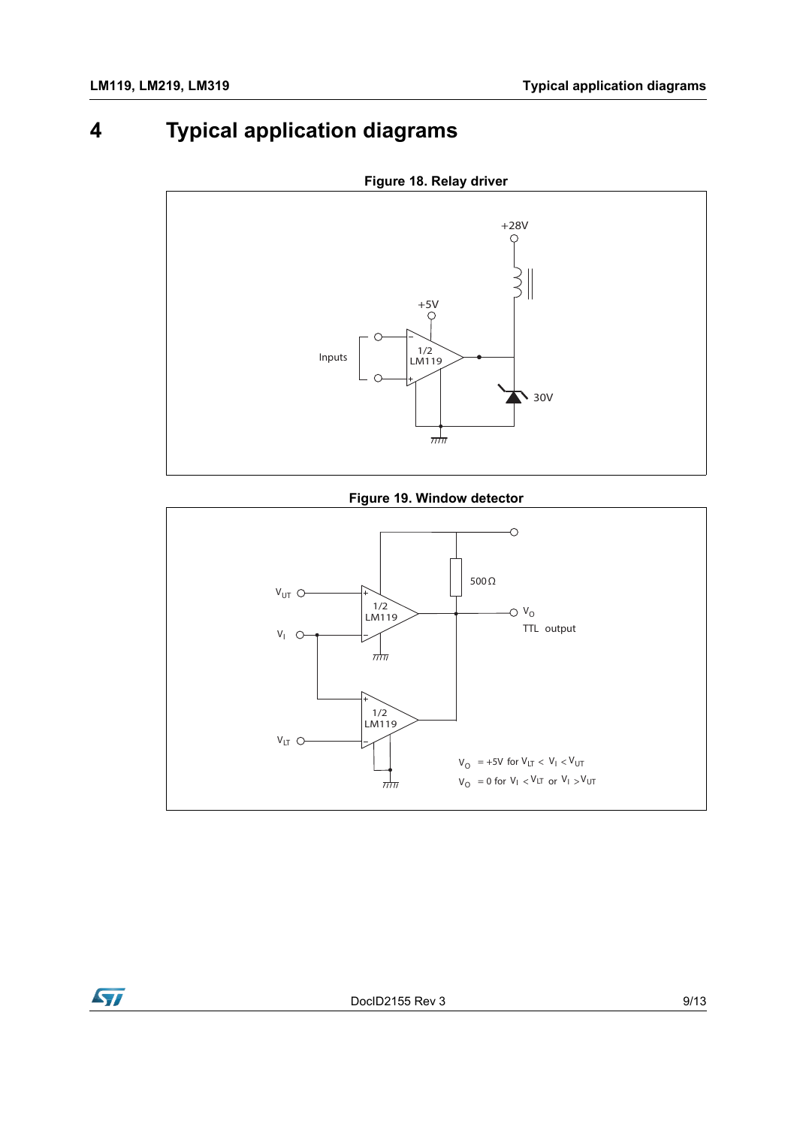### <span id="page-8-0"></span>**4 Typical application diagrams**



**Figure 18. Relay driver**

#### **Figure 19. Window detector**

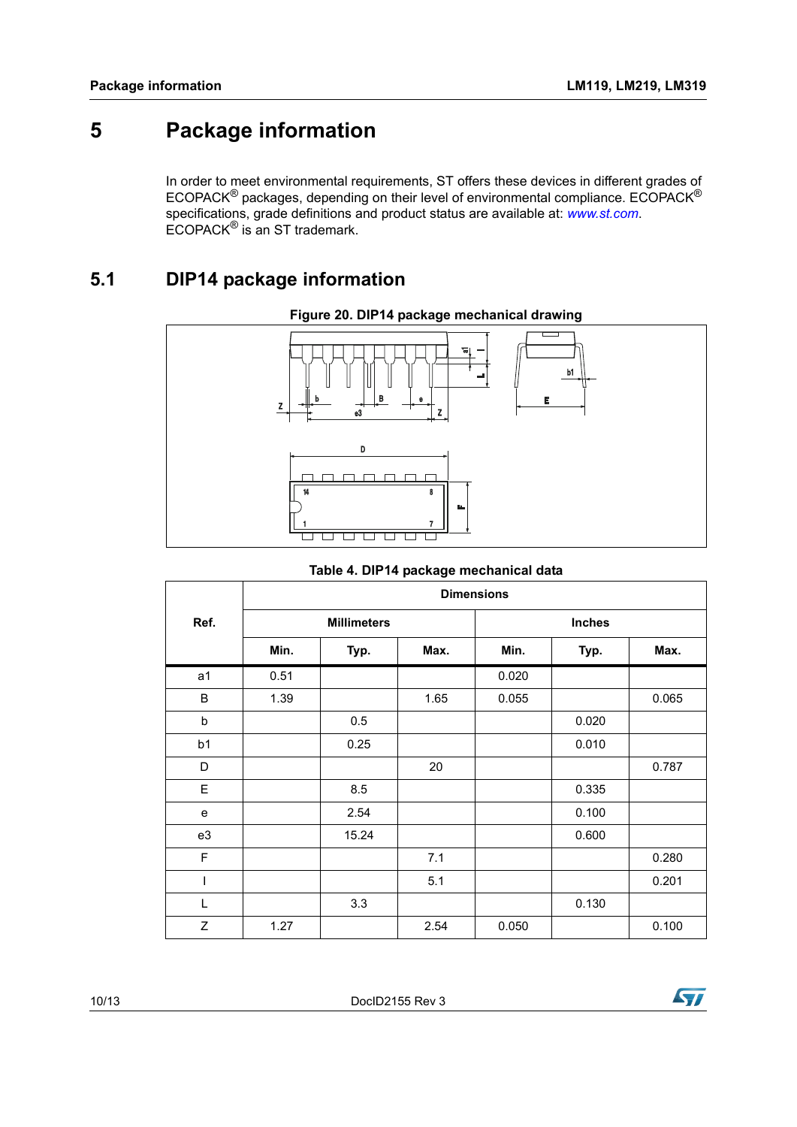### <span id="page-9-0"></span>**5 Package information**

In order to meet environmental requirements, ST offers these devices in different grades of ECOPACK® packages, depending on their level of environmental compliance. ECOPACK® specifications, grade definitions and product status are available at: *[www.st.com](http://www.st.com)*. ECOPACK® is an ST trademark.

#### <span id="page-9-1"></span>**5.1 DIP14 package information**



#### **Figure 20. DIP14 package mechanical drawing**

#### **Table 4. DIP14 package mechanical data**

|                | <b>Dimensions</b>  |       |      |               |       |       |  |
|----------------|--------------------|-------|------|---------------|-------|-------|--|
| Ref.           | <b>Millimeters</b> |       |      | <b>Inches</b> |       |       |  |
|                | Min.               | Typ.  | Max. | Min.          | Typ.  | Max.  |  |
| a <sub>1</sub> | 0.51               |       |      | 0.020         |       |       |  |
| B              | 1.39               |       | 1.65 | 0.055         |       | 0.065 |  |
| b              |                    | 0.5   |      |               | 0.020 |       |  |
| b <sub>1</sub> |                    | 0.25  |      |               | 0.010 |       |  |
| D              |                    |       | 20   |               |       | 0.787 |  |
| E              |                    | 8.5   |      |               | 0.335 |       |  |
| e              |                    | 2.54  |      |               | 0.100 |       |  |
| e3             |                    | 15.24 |      |               | 0.600 |       |  |
| $\mathsf F$    |                    |       | 7.1  |               |       | 0.280 |  |
| I              |                    |       | 5.1  |               |       | 0.201 |  |
| L              |                    | 3.3   |      |               | 0.130 |       |  |
| Z              | 1.27               |       | 2.54 | 0.050         |       | 0.100 |  |

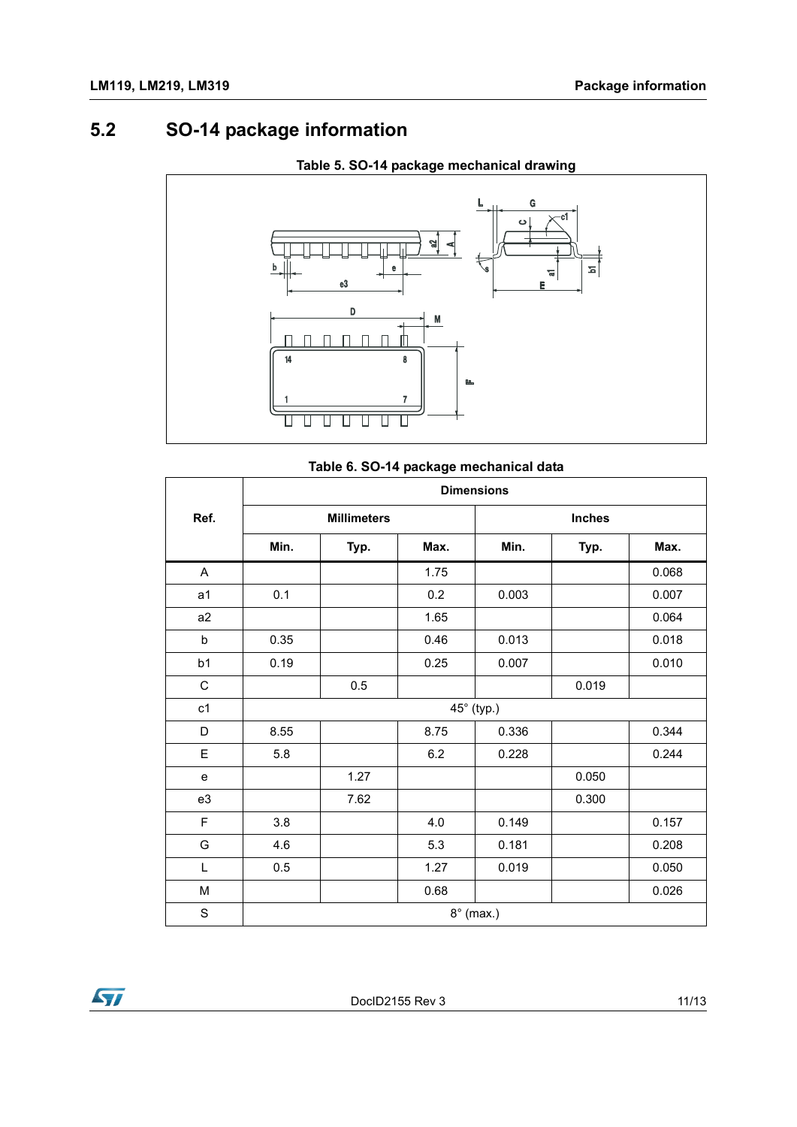### <span id="page-10-0"></span>**5.2 SO-14 package information**



#### **Table 5. SO-14 package mechanical drawing**

#### **Table 6. SO-14 package mechanical data**

|                | <b>Dimensions</b>  |      |      |               |       |       |  |  |
|----------------|--------------------|------|------|---------------|-------|-------|--|--|
| Ref.           | <b>Millimeters</b> |      |      | <b>Inches</b> |       |       |  |  |
|                | Min.               | Typ. | Max. | Min.          | Typ.  | Max.  |  |  |
| A              |                    |      | 1.75 |               |       | 0.068 |  |  |
| a <sub>1</sub> | 0.1                |      | 0.2  | 0.003         |       | 0.007 |  |  |
| a2             |                    |      | 1.65 |               |       | 0.064 |  |  |
| b              | 0.35               |      | 0.46 | 0.013         |       | 0.018 |  |  |
| b <sub>1</sub> | 0.19               |      | 0.25 | 0.007         |       | 0.010 |  |  |
| $\mathsf C$    |                    | 0.5  |      |               | 0.019 |       |  |  |
| c1             |                    |      |      | 45° (typ.)    |       |       |  |  |
| D              | 8.55               |      | 8.75 | 0.336         |       | 0.344 |  |  |
| Е              | 5.8                |      | 6.2  | 0.228         |       | 0.244 |  |  |
| ${\bf e}$      |                    | 1.27 |      |               | 0.050 |       |  |  |
| e3             |                    | 7.62 |      |               | 0.300 |       |  |  |
| $\mathsf F$    | 3.8                |      | 4.0  | 0.149         |       | 0.157 |  |  |
| G              | 4.6                |      | 5.3  | 0.181         |       | 0.208 |  |  |
| L              | 0.5                |      | 1.27 | 0.019         |       | 0.050 |  |  |
| M              |                    |      | 0.68 |               |       | 0.026 |  |  |
| $\mathbf S$    | $8^\circ$ (max.)   |      |      |               |       |       |  |  |

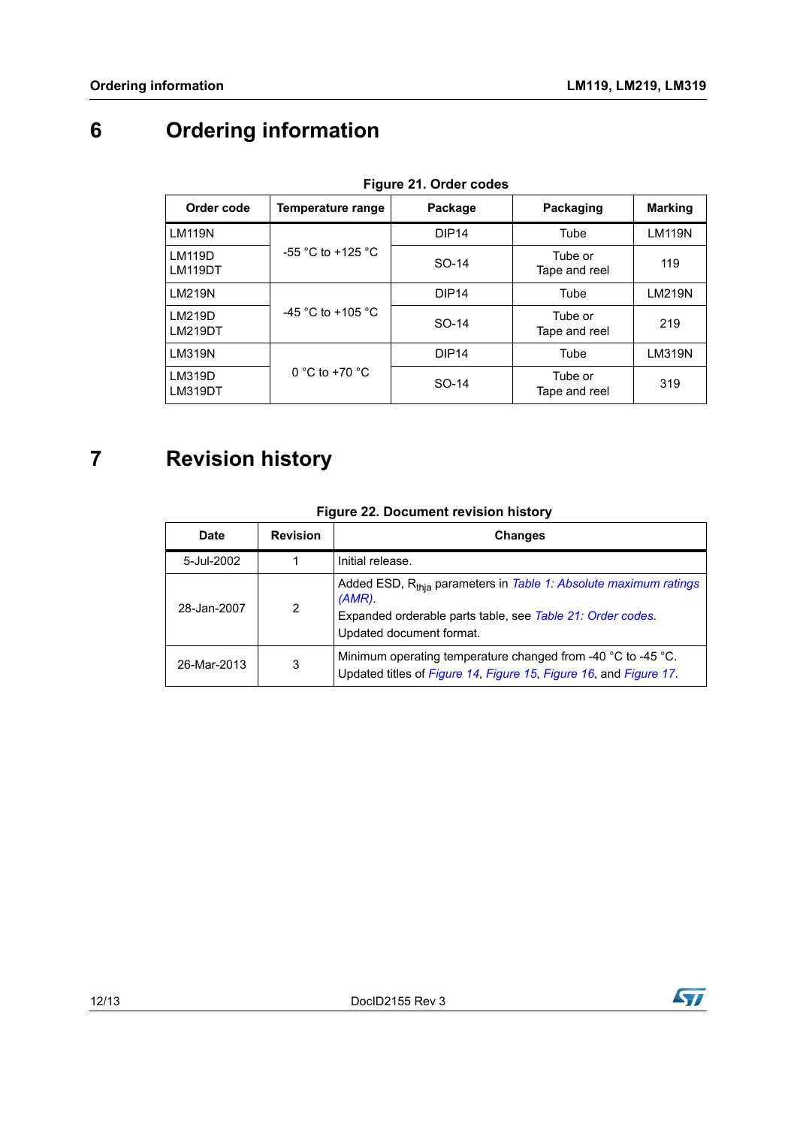## <span id="page-11-0"></span>**6 Ordering information**

<span id="page-11-2"></span>

| Figure 21. Order codes   |                    |                   |                          |                |  |  |  |  |
|--------------------------|--------------------|-------------------|--------------------------|----------------|--|--|--|--|
| Order code               | Temperature range  | Package           | Packaging                | <b>Marking</b> |  |  |  |  |
| <b>LM119N</b>            |                    | DIP <sub>14</sub> | Tube                     | <b>LM119N</b>  |  |  |  |  |
| <b>LM119D</b><br>LM119DT | -55 °C to +125 °C  | SO-14             | Tube or<br>Tape and reel | 119            |  |  |  |  |
| <b>LM219N</b>            |                    | DIP <sub>14</sub> | Tube                     | <b>LM219N</b>  |  |  |  |  |
| LM219D<br><b>LM219DT</b> | -45 °C to +105 °C  | SO-14             | Tube or<br>Tape and reel | 219            |  |  |  |  |
| <b>LM319N</b>            |                    | DIP <sub>14</sub> | Tube                     | LM319N         |  |  |  |  |
| LM319D<br>LM319DT        | $0 °C$ to +70 $°C$ | SO-14             | Tube or<br>Tape and reel | 319            |  |  |  |  |

**Figure 21. Order codes**

### <span id="page-11-1"></span>**7 Revision history**

| <b>Figure 22. Document revision history</b> |
|---------------------------------------------|
|---------------------------------------------|

| Date        | <b>Revision</b> | <b>Changes</b>                                                                                                                                                                      |
|-------------|-----------------|-------------------------------------------------------------------------------------------------------------------------------------------------------------------------------------|
| 5-Jul-2002  |                 | Initial release.                                                                                                                                                                    |
| 28-Jan-2007 | $\overline{2}$  | Added ESD, R <sub>thia</sub> parameters in Table 1: Absolute maximum ratings<br>$(AMR)$ .<br>Expanded orderable parts table, see Table 21: Order codes.<br>Updated document format. |
| 26-Mar-2013 | 3               | Minimum operating temperature changed from -40 °C to -45 °C.<br>Updated titles of Figure 14, Figure 15, Figure 16, and Figure 17.                                                   |